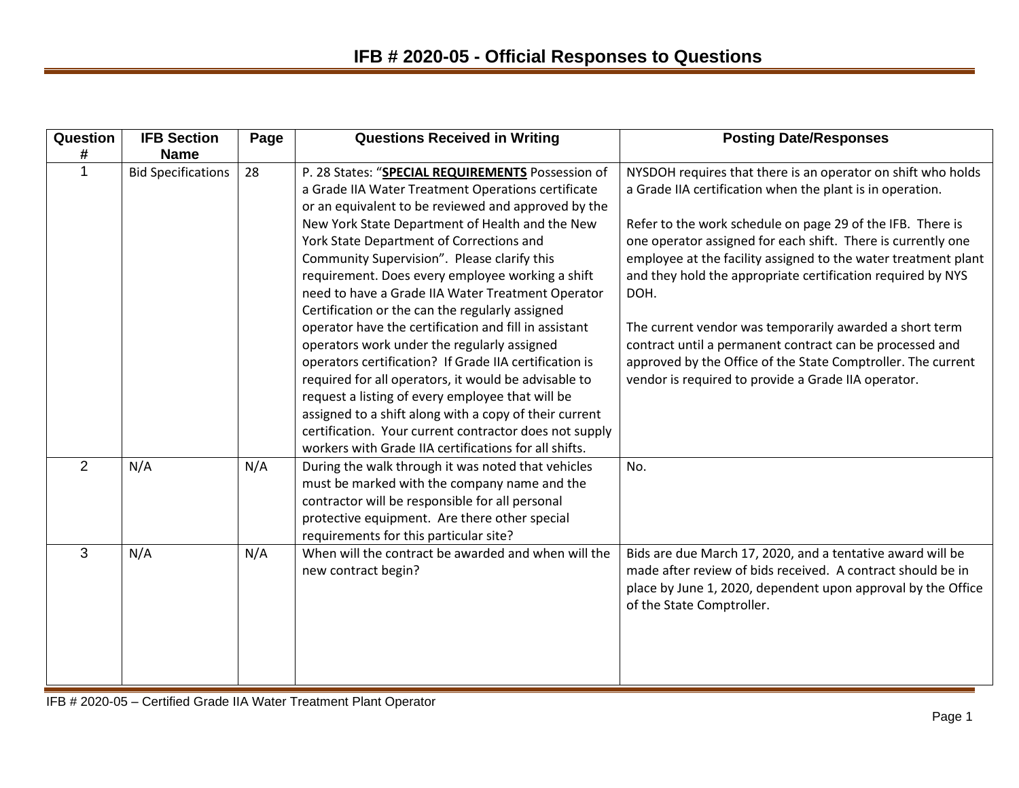| Question       | <b>IFB Section</b>        | Page | <b>Questions Received in Writing</b>                                                                                                                                                                                                                                                                                                                                                                                                                                                                                                                                                                                                                                                                                                                                                                                                                                                                                                | <b>Posting Date/Responses</b>                                                                                                                                                                                                                                                                                                                                                                                                                                                                                                                                                                                                                  |
|----------------|---------------------------|------|-------------------------------------------------------------------------------------------------------------------------------------------------------------------------------------------------------------------------------------------------------------------------------------------------------------------------------------------------------------------------------------------------------------------------------------------------------------------------------------------------------------------------------------------------------------------------------------------------------------------------------------------------------------------------------------------------------------------------------------------------------------------------------------------------------------------------------------------------------------------------------------------------------------------------------------|------------------------------------------------------------------------------------------------------------------------------------------------------------------------------------------------------------------------------------------------------------------------------------------------------------------------------------------------------------------------------------------------------------------------------------------------------------------------------------------------------------------------------------------------------------------------------------------------------------------------------------------------|
| #              | <b>Name</b>               |      |                                                                                                                                                                                                                                                                                                                                                                                                                                                                                                                                                                                                                                                                                                                                                                                                                                                                                                                                     |                                                                                                                                                                                                                                                                                                                                                                                                                                                                                                                                                                                                                                                |
|                | <b>Bid Specifications</b> | 28   | P. 28 States: "SPECIAL REQUIREMENTS Possession of<br>a Grade IIA Water Treatment Operations certificate<br>or an equivalent to be reviewed and approved by the<br>New York State Department of Health and the New<br>York State Department of Corrections and<br>Community Supervision". Please clarify this<br>requirement. Does every employee working a shift<br>need to have a Grade IIA Water Treatment Operator<br>Certification or the can the regularly assigned<br>operator have the certification and fill in assistant<br>operators work under the regularly assigned<br>operators certification? If Grade IIA certification is<br>required for all operators, it would be advisable to<br>request a listing of every employee that will be<br>assigned to a shift along with a copy of their current<br>certification. Your current contractor does not supply<br>workers with Grade IIA certifications for all shifts. | NYSDOH requires that there is an operator on shift who holds<br>a Grade IIA certification when the plant is in operation.<br>Refer to the work schedule on page 29 of the IFB. There is<br>one operator assigned for each shift. There is currently one<br>employee at the facility assigned to the water treatment plant<br>and they hold the appropriate certification required by NYS<br>DOH.<br>The current vendor was temporarily awarded a short term<br>contract until a permanent contract can be processed and<br>approved by the Office of the State Comptroller. The current<br>vendor is required to provide a Grade IIA operator. |
| $\overline{2}$ | N/A                       | N/A  | During the walk through it was noted that vehicles<br>must be marked with the company name and the<br>contractor will be responsible for all personal<br>protective equipment. Are there other special<br>requirements for this particular site?                                                                                                                                                                                                                                                                                                                                                                                                                                                                                                                                                                                                                                                                                    | No.                                                                                                                                                                                                                                                                                                                                                                                                                                                                                                                                                                                                                                            |
| 3              | N/A                       | N/A  | When will the contract be awarded and when will the<br>new contract begin?                                                                                                                                                                                                                                                                                                                                                                                                                                                                                                                                                                                                                                                                                                                                                                                                                                                          | Bids are due March 17, 2020, and a tentative award will be<br>made after review of bids received. A contract should be in<br>place by June 1, 2020, dependent upon approval by the Office<br>of the State Comptroller.                                                                                                                                                                                                                                                                                                                                                                                                                         |

IFB # 2020-05 – Certified Grade IIA Water Treatment Plant Operator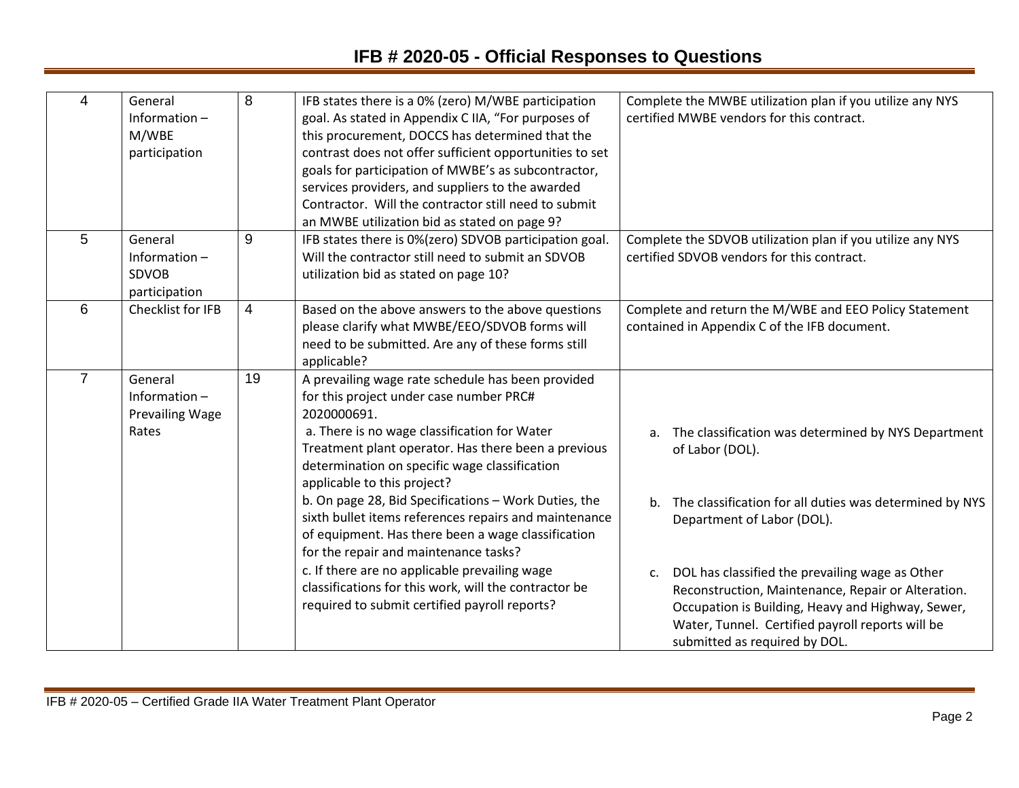| 4              | General<br>Information $-$<br>M/WBE<br>participation     | 8  | IFB states there is a 0% (zero) M/WBE participation<br>goal. As stated in Appendix C IIA, "For purposes of<br>this procurement, DOCCS has determined that the<br>contrast does not offer sufficient opportunities to set<br>goals for participation of MWBE's as subcontractor,<br>services providers, and suppliers to the awarded<br>Contractor. Will the contractor still need to submit<br>an MWBE utilization bid as stated on page 9?                                                                                                                                                                                                                                   | Complete the MWBE utilization plan if you utilize any NYS<br>certified MWBE vendors for this contract.                                                                                                                                                                                                                                                                                                                            |
|----------------|----------------------------------------------------------|----|-------------------------------------------------------------------------------------------------------------------------------------------------------------------------------------------------------------------------------------------------------------------------------------------------------------------------------------------------------------------------------------------------------------------------------------------------------------------------------------------------------------------------------------------------------------------------------------------------------------------------------------------------------------------------------|-----------------------------------------------------------------------------------------------------------------------------------------------------------------------------------------------------------------------------------------------------------------------------------------------------------------------------------------------------------------------------------------------------------------------------------|
| 5              | General<br>Information-<br><b>SDVOB</b><br>participation | 9  | IFB states there is 0%(zero) SDVOB participation goal.<br>Will the contractor still need to submit an SDVOB<br>utilization bid as stated on page 10?                                                                                                                                                                                                                                                                                                                                                                                                                                                                                                                          | Complete the SDVOB utilization plan if you utilize any NYS<br>certified SDVOB vendors for this contract.                                                                                                                                                                                                                                                                                                                          |
| 6              | Checklist for IFB                                        | 4  | Based on the above answers to the above questions<br>please clarify what MWBE/EEO/SDVOB forms will<br>need to be submitted. Are any of these forms still<br>applicable?                                                                                                                                                                                                                                                                                                                                                                                                                                                                                                       | Complete and return the M/WBE and EEO Policy Statement<br>contained in Appendix C of the IFB document.                                                                                                                                                                                                                                                                                                                            |
| $\overline{7}$ | General<br>Information-<br>Prevailing Wage<br>Rates      | 19 | A prevailing wage rate schedule has been provided<br>for this project under case number PRC#<br>2020000691.<br>a. There is no wage classification for Water<br>Treatment plant operator. Has there been a previous<br>determination on specific wage classification<br>applicable to this project?<br>b. On page 28, Bid Specifications - Work Duties, the<br>sixth bullet items references repairs and maintenance<br>of equipment. Has there been a wage classification<br>for the repair and maintenance tasks?<br>c. If there are no applicable prevailing wage<br>classifications for this work, will the contractor be<br>required to submit certified payroll reports? | a. The classification was determined by NYS Department<br>of Labor (DOL).<br>The classification for all duties was determined by NYS<br>b.<br>Department of Labor (DOL).<br>DOL has classified the prevailing wage as Other<br>C.<br>Reconstruction, Maintenance, Repair or Alteration.<br>Occupation is Building, Heavy and Highway, Sewer,<br>Water, Tunnel. Certified payroll reports will be<br>submitted as required by DOL. |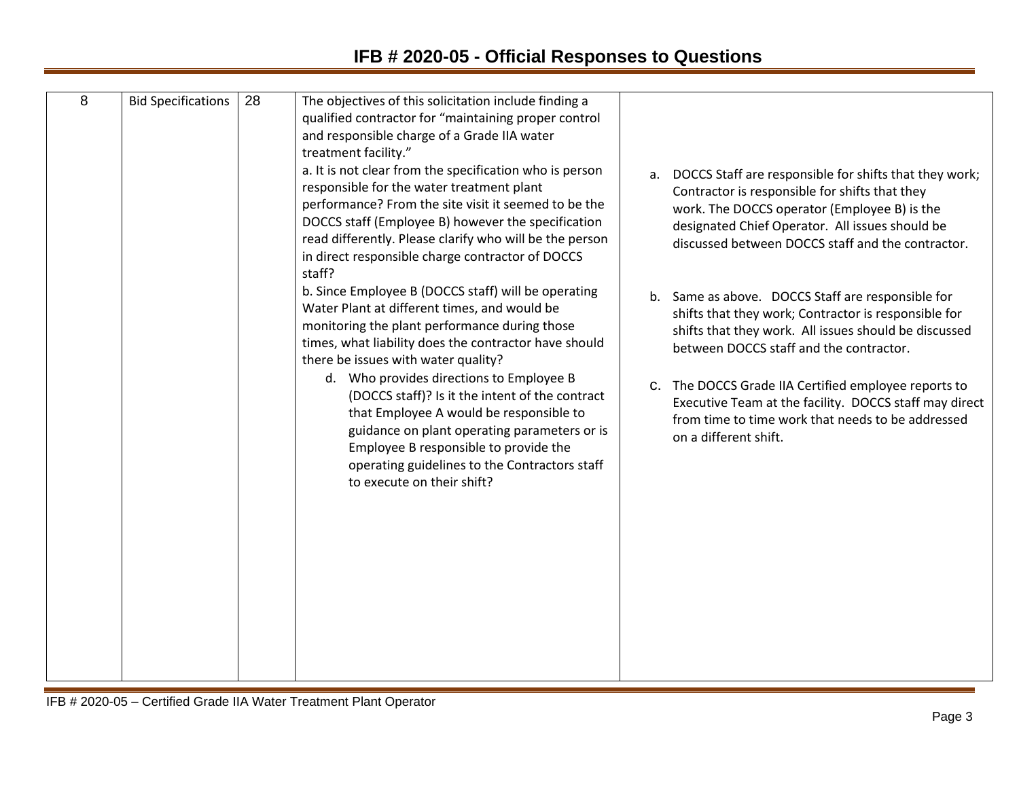| 8 | <b>Bid Specifications</b> | 28 | The objectives of this solicitation include finding a                                       |                                                           |
|---|---------------------------|----|---------------------------------------------------------------------------------------------|-----------------------------------------------------------|
|   |                           |    | qualified contractor for "maintaining proper control                                        |                                                           |
|   |                           |    | and responsible charge of a Grade IIA water                                                 |                                                           |
|   |                           |    | treatment facility."                                                                        |                                                           |
|   |                           |    | a. It is not clear from the specification who is person                                     | a. DOCCS Staff are responsible for shifts that they work; |
|   |                           |    | responsible for the water treatment plant                                                   | Contractor is responsible for shifts that they            |
|   |                           |    | performance? From the site visit it seemed to be the                                        | work. The DOCCS operator (Employee B) is the              |
|   |                           |    | DOCCS staff (Employee B) however the specification                                          | designated Chief Operator. All issues should be           |
|   |                           |    | read differently. Please clarify who will be the person                                     | discussed between DOCCS staff and the contractor.         |
|   |                           |    | in direct responsible charge contractor of DOCCS                                            |                                                           |
|   |                           |    | staff?                                                                                      |                                                           |
|   |                           |    | b. Since Employee B (DOCCS staff) will be operating                                         | b. Same as above. DOCCS Staff are responsible for         |
|   |                           |    | Water Plant at different times, and would be                                                | shifts that they work; Contractor is responsible for      |
|   |                           |    | monitoring the plant performance during those                                               | shifts that they work. All issues should be discussed     |
|   |                           |    | times, what liability does the contractor have should                                       | between DOCCS staff and the contractor.                   |
|   |                           |    | there be issues with water quality?                                                         |                                                           |
|   |                           |    | d. Who provides directions to Employee B<br>(DOCCS staff)? Is it the intent of the contract | C. The DOCCS Grade IIA Certified employee reports to      |
|   |                           |    | that Employee A would be responsible to                                                     | Executive Team at the facility. DOCCS staff may direct    |
|   |                           |    | guidance on plant operating parameters or is                                                | from time to time work that needs to be addressed         |
|   |                           |    | Employee B responsible to provide the                                                       | on a different shift.                                     |
|   |                           |    | operating guidelines to the Contractors staff                                               |                                                           |
|   |                           |    | to execute on their shift?                                                                  |                                                           |
|   |                           |    |                                                                                             |                                                           |
|   |                           |    |                                                                                             |                                                           |
|   |                           |    |                                                                                             |                                                           |
|   |                           |    |                                                                                             |                                                           |
|   |                           |    |                                                                                             |                                                           |
|   |                           |    |                                                                                             |                                                           |
|   |                           |    |                                                                                             |                                                           |
|   |                           |    |                                                                                             |                                                           |
|   |                           |    |                                                                                             |                                                           |
|   |                           |    |                                                                                             |                                                           |
|   |                           |    |                                                                                             |                                                           |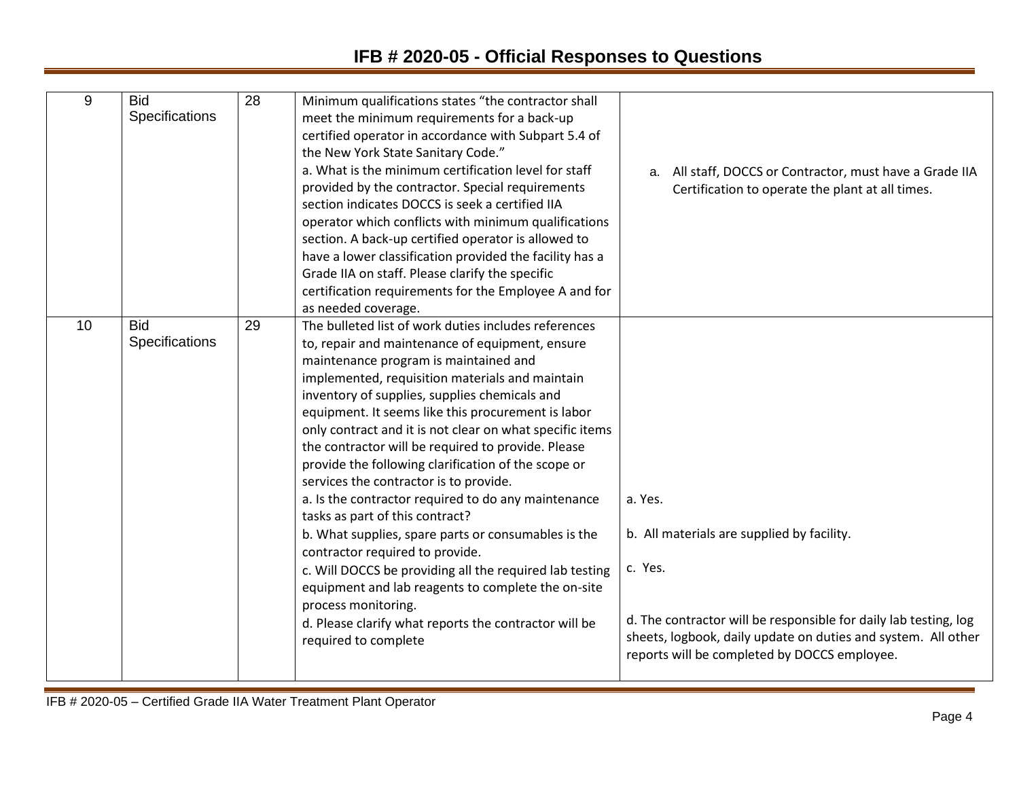## **IFB # 2020-05 - Official Responses to Questions**

| 9  | <b>Bid</b><br>Specifications | 28 | Minimum qualifications states "the contractor shall<br>meet the minimum requirements for a back-up<br>certified operator in accordance with Subpart 5.4 of<br>the New York State Sanitary Code."<br>a. What is the minimum certification level for staff<br>provided by the contractor. Special requirements<br>section indicates DOCCS is seek a certified IIA<br>operator which conflicts with minimum qualifications<br>section. A back-up certified operator is allowed to<br>have a lower classification provided the facility has a<br>Grade IIA on staff. Please clarify the specific<br>certification requirements for the Employee A and for<br>as needed coverage.                                                                                                                                                                                                                                                               | All staff, DOCCS or Contractor, must have a Grade IIA<br>a.<br>Certification to operate the plant at all times.                                                                                                                                       |
|----|------------------------------|----|--------------------------------------------------------------------------------------------------------------------------------------------------------------------------------------------------------------------------------------------------------------------------------------------------------------------------------------------------------------------------------------------------------------------------------------------------------------------------------------------------------------------------------------------------------------------------------------------------------------------------------------------------------------------------------------------------------------------------------------------------------------------------------------------------------------------------------------------------------------------------------------------------------------------------------------------|-------------------------------------------------------------------------------------------------------------------------------------------------------------------------------------------------------------------------------------------------------|
| 10 | <b>Bid</b><br>Specifications | 29 | The bulleted list of work duties includes references<br>to, repair and maintenance of equipment, ensure<br>maintenance program is maintained and<br>implemented, requisition materials and maintain<br>inventory of supplies, supplies chemicals and<br>equipment. It seems like this procurement is labor<br>only contract and it is not clear on what specific items<br>the contractor will be required to provide. Please<br>provide the following clarification of the scope or<br>services the contractor is to provide.<br>a. Is the contractor required to do any maintenance<br>tasks as part of this contract?<br>b. What supplies, spare parts or consumables is the<br>contractor required to provide.<br>c. Will DOCCS be providing all the required lab testing<br>equipment and lab reagents to complete the on-site<br>process monitoring.<br>d. Please clarify what reports the contractor will be<br>required to complete | a. Yes.<br>b. All materials are supplied by facility.<br>c. Yes.<br>d. The contractor will be responsible for daily lab testing, log<br>sheets, logbook, daily update on duties and system. All other<br>reports will be completed by DOCCS employee. |